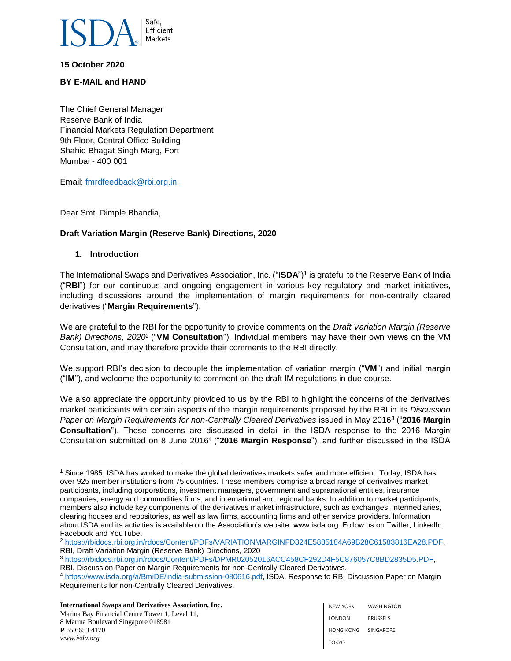

**15 October 2020**

**BY E-MAIL and HAND**

The Chief General Manager Reserve Bank of India Financial Markets Regulation Department 9th Floor, Central Office Building Shahid Bhagat Singh Marg, Fort Mumbai - 400 001

Email: [fmrdfeedback@rbi.org.in](mailto:fmrdfeedback@rbi.org.in)

Dear Smt. Dimple Bhandia,

### **Draft Variation Margin (Reserve Bank) Directions, 2020**

#### **1. Introduction**

 $\overline{\phantom{a}}$ 

The International Swaps and Derivatives Association, Inc. ("**ISDA**") 1 is grateful to the Reserve Bank of India ("**RBI**") for our continuous and ongoing engagement in various key regulatory and market initiatives, including discussions around the implementation of margin requirements for non-centrally cleared derivatives ("**Margin Requirements**").

We are grateful to the RBI for the opportunity to provide comments on the *Draft Variation Margin (Reserve Bank) Directions, 2020*<sup>2</sup> ("**VM Consultation**"). Individual members may have their own views on the VM Consultation, and may therefore provide their comments to the RBI directly.

We support RBI's decision to decouple the implementation of variation margin ("**VM**") and initial margin ("**IM**"), and welcome the opportunity to comment on the draft IM regulations in due course.

We also appreciate the opportunity provided to us by the RBI to highlight the concerns of the derivatives market participants with certain aspects of the margin requirements proposed by the RBI in its *Discussion*  Paper on Margin Requirements for non-Centrally Cleared Derivatives issued in May 2016<sup>3</sup> ("2016 Margin **Consultation**"). These concerns are discussed in detail in the ISDA response to the 2016 Margin Consultation submitted on 8 June 2016<sup>4</sup> ("**2016 Margin Response**"), and further discussed in the ISDA

<sup>3</sup> [https://rbidocs.rbi.org.in/rdocs/Content/PDFs/DPMR02052016ACC458CF292D4F5C876057C8BD2835D5.PDF,](https://rbidocs.rbi.org.in/rdocs/Content/PDFs/DPMR02052016ACC458CF292D4F5C876057C8BD2835D5.PDF) RBI, Discussion Paper on Margin Requirements for non-Centrally Cleared Derivatives.

**International Swaps and Derivatives Association, Inc.** Marina Bay Financial Centre Tower 1, Level 11, 8 Marina Boulevard Singapore 018981 **P** 65 6653 4170 *www.isda.org*

<sup>1</sup> Since 1985, ISDA has worked to make the global derivatives markets safer and more efficient. Today, ISDA has over 925 member institutions from 75 countries. These members comprise a broad range of derivatives market participants, including corporations, investment managers, government and supranational entities, insurance companies, energy and commodities firms, and international and regional banks. In addition to market participants, members also include key components of the derivatives market infrastructure, such as exchanges, intermediaries, clearing houses and repositories, as well as law firms, accounting firms and other service providers. Information about ISDA and its activities is available on the Association's website: www.isda.org. Follow us on Twitter, LinkedIn, Facebook and YouTube.

<sup>2</sup> [https://rbidocs.rbi.org.in/rdocs/Content/PDFs/VARIATIONMARGINFD324E5885184A69B28C61583816EA28.PDF,](https://rbidocs.rbi.org.in/rdocs/Content/PDFs/VARIATIONMARGINFD324E5885184A69B28C61583816EA28.PDF) RBI, Draft Variation Margin (Reserve Bank) Directions, 2020

<sup>4</sup> [https://www.isda.org/a/BmiDE/india-submission-080616.pdf,](https://www.isda.org/a/BmiDE/india-submission-080616.pdf) ISDA, Response to RBI Discussion Paper on Margin Requirements for non-Centrally Cleared Derivatives.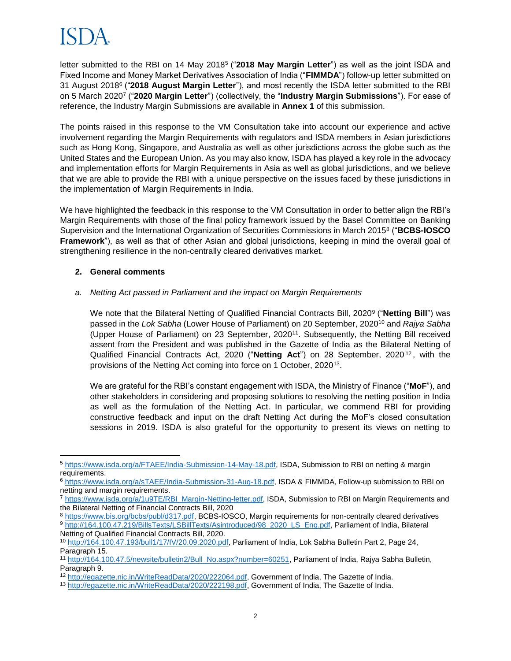# ISDA

letter submitted to the RBI on 14 May 2018<sup>5</sup> ("**2018 May Margin Letter**") as well as the joint ISDA and Fixed Income and Money Market Derivatives Association of India ("**FIMMDA**") follow-up letter submitted on 31 August 2018<sup>6</sup> ("**2018 August Margin Letter**"), and most recently the ISDA letter submitted to the RBI on 5 March 2020<sup>7</sup> ("**2020 Margin Letter**") (collectively, the "**Industry Margin Submissions**"). For ease of reference, the Industry Margin Submissions are available in **Annex 1** of this submission.

The points raised in this response to the VM Consultation take into account our experience and active involvement regarding the Margin Requirements with regulators and ISDA members in Asian jurisdictions such as Hong Kong, Singapore, and Australia as well as other jurisdictions across the globe such as the United States and the European Union. As you may also know, ISDA has played a key role in the advocacy and implementation efforts for Margin Requirements in Asia as well as global jurisdictions, and we believe that we are able to provide the RBI with a unique perspective on the issues faced by these jurisdictions in the implementation of Margin Requirements in India.

We have highlighted the feedback in this response to the VM Consultation in order to better align the RBI's Margin Requirements with those of the final policy framework issued by the Basel Committee on Banking Supervision and the International Organization of Securities Commissions in March 2015<sup>8</sup> ("**BCBS-IOSCO Framework**"), as well as that of other Asian and global jurisdictions, keeping in mind the overall goal of strengthening resilience in the non-centrally cleared derivatives market.

### **2. General comments**

### *a. Netting Act passed in Parliament and the impact on Margin Requirements*

We note that the Bilateral Netting of Qualified Financial Contracts Bill, 2020<sup>9</sup> ("**Netting Bill**") was passed in the *Lok Sabha* (Lower House of Parliament) on 20 September, 2020<sup>10</sup> and *Rajya Sabha* (Upper House of Parliament) on 23 September, 2020<sup>11</sup> . Subsequently, the Netting Bill received assent from the President and was published in the Gazette of India as the Bilateral Netting of Qualified Financial Contracts Act, 2020 ("**Netting Act**") on 28 September, 2020 <sup>12</sup> , with the provisions of the Netting Act coming into force on 1 October, 2020<sup>13</sup>.

We are grateful for the RBI's constant engagement with ISDA, the Ministry of Finance ("**MoF**"), and other stakeholders in considering and proposing solutions to resolving the netting position in India as well as the formulation of the Netting Act. In particular, we commend RBI for providing constructive feedback and input on the draft Netting Act during the MoF's closed consultation sessions in 2019. ISDA is also grateful for the opportunity to present its views on netting to

 $\overline{\phantom{a}}$ <sup>5</sup> [https://www.isda.org/a/FTAEE/India-Submission-14-May-18.pdf,](https://www.isda.org/a/FTAEE/India-Submission-14-May-18.pdf) ISDA, Submission to RBI on netting & margin requirements.

<sup>6</sup> [https://www.isda.org/a/sTAEE/India-Submission-31-Aug-18.pdf,](https://www.isda.org/a/sTAEE/India-Submission-31-Aug-18.pdf) ISDA & FIMMDA, Follow-up submission to RBI on netting and margin requirements.

<sup>7</sup> [https://www.isda.org/a/1u9TE/RBI\\_Margin-Netting-letter.pdf,](https://www.isda.org/a/1u9TE/RBI_Margin-Netting-letter.pdf) ISDA, Submission to RBI on Margin Requirements and the Bilateral Netting of Financial Contracts Bill, 2020

<sup>8</sup> [https://www.bis.org/bcbs/publ/d317.pdf,](https://www.bis.org/bcbs/publ/d317.pdf) BCBS-IOSCO, Margin requirements for non-centrally cleared derivatives 9 [http://164.100.47.219/BillsTexts/LSBillTexts/Asintroduced/98\\_2020\\_LS\\_Eng.pdf,](http://164.100.47.219/BillsTexts/LSBillTexts/Asintroduced/98_2020_LS_Eng.pdf) Parliament of India, Bilateral Netting of Qualified Financial Contracts Bill, 2020.

<sup>10</sup> [http://164.100.47.193/bull1/17/IV/20.09.2020.pdf,](http://164.100.47.193/bull1/17/IV/20.09.2020.pdf) Parliament of India, Lok Sabha Bulletin Part 2, Page 24, Paragraph 15.

<sup>11</sup> [http://164.100.47.5/newsite/bulletin2/Bull\\_No.aspx?number=60251,](http://164.100.47.5/newsite/bulletin2/Bull_No.aspx?number=60251) Parliament of India, Rajya Sabha Bulletin, Paragraph 9.

<sup>12</sup> [http://egazette.nic.in/WriteReadData/2020/222064.pdf,](http://egazette.nic.in/WriteReadData/2020/222064.pdf) Government of India, The Gazette of India.

<sup>13</sup> [http://egazette.nic.in/WriteReadData/2020/222198.pdf,](http://egazette.nic.in/WriteReadData/2020/222198.pdf) Government of India, The Gazette of India.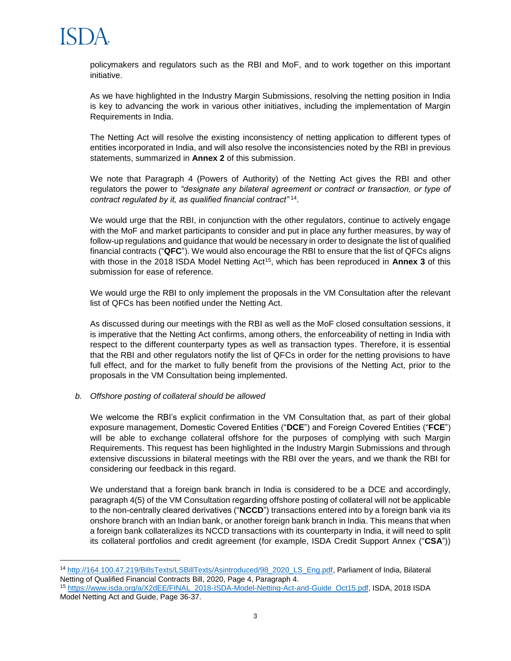

l

policymakers and regulators such as the RBI and MoF, and to work together on this important initiative.

As we have highlighted in the Industry Margin Submissions, resolving the netting position in India is key to advancing the work in various other initiatives, including the implementation of Margin Requirements in India.

The Netting Act will resolve the existing inconsistency of netting application to different types of entities incorporated in India, and will also resolve the inconsistencies noted by the RBI in previous statements, summarized in **Annex 2** of this submission.

We note that Paragraph 4 (Powers of Authority) of the Netting Act gives the RBI and other regulators the power to *"designate any bilateral agreement or contract or transaction, or type of contract regulated by it, as qualified financial contract"* <sup>14</sup> .

We would urge that the RBI, in conjunction with the other regulators, continue to actively engage with the MoF and market participants to consider and put in place any further measures, by way of follow-up regulations and guidance that would be necessary in order to designate the list of qualified financial contracts ("**QFC**"). We would also encourage the RBI to ensure that the list of QFCs aligns with those in the 2018 ISDA Model Netting Act<sup>15</sup>, which has been reproduced in **Annex 3** of this submission for ease of reference.

We would urge the RBI to only implement the proposals in the VM Consultation after the relevant list of QFCs has been notified under the Netting Act.

As discussed during our meetings with the RBI as well as the MoF closed consultation sessions, it is imperative that the Netting Act confirms, among others, the enforceability of netting in India with respect to the different counterparty types as well as transaction types. Therefore, it is essential that the RBI and other regulators notify the list of QFCs in order for the netting provisions to have full effect, and for the market to fully benefit from the provisions of the Netting Act, prior to the proposals in the VM Consultation being implemented.

#### *b. Offshore posting of collateral should be allowed*

We welcome the RBI's explicit confirmation in the VM Consultation that, as part of their global exposure management, Domestic Covered Entities ("**DCE**") and Foreign Covered Entities ("**FCE**") will be able to exchange collateral offshore for the purposes of complying with such Margin Requirements. This request has been highlighted in the Industry Margin Submissions and through extensive discussions in bilateral meetings with the RBI over the years, and we thank the RBI for considering our feedback in this regard.

We understand that a foreign bank branch in India is considered to be a DCE and accordingly, paragraph 4(5) of the VM Consultation regarding offshore posting of collateral will not be applicable to the non-centrally cleared derivatives ("**NCCD**") transactions entered into by a foreign bank via its onshore branch with an Indian bank, or another foreign bank branch in India. This means that when a foreign bank collateralizes its NCCD transactions with its counterparty in India, it will need to split its collateral portfolios and credit agreement (for example, ISDA Credit Support Annex ("**CSA**"))

<sup>14</sup> [http://164.100.47.219/BillsTexts/LSBillTexts/Asintroduced/98\\_2020\\_LS\\_Eng.pdf,](http://164.100.47.219/BillsTexts/LSBillTexts/Asintroduced/98_2020_LS_Eng.pdf) Parliament of India, Bilateral Netting of Qualified Financial Contracts Bill, 2020, Page 4, Paragraph 4.

<sup>15</sup> [https://www.isda.org/a/X2dEE/FINAL\\_2018-ISDA-Model-Netting-Act-and-Guide\\_Oct15.pdf,](https://www.isda.org/a/X2dEE/FINAL_2018-ISDA-Model-Netting-Act-and-Guide_Oct15.pdf) ISDA, 2018 ISDA Model Netting Act and Guide, Page 36-37.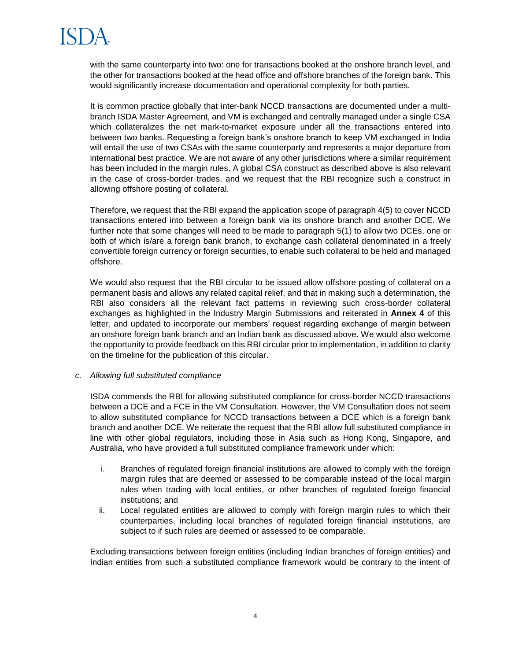

with the same counterparty into two: one for transactions booked at the onshore branch level, and the other for transactions booked at the head office and offshore branches of the foreign bank. This would significantly increase documentation and operational complexity for both parties.

It is common practice globally that inter-bank NCCD transactions are documented under a multibranch ISDA Master Agreement, and VM is exchanged and centrally managed under a single CSA which collateralizes the net mark-to-market exposure under all the transactions entered into between two banks. Requesting a foreign bank's onshore branch to keep VM exchanged in India will entail the use of two CSAs with the same counterparty and represents a major departure from international best practice. We are not aware of any other jurisdictions where a similar requirement has been included in the margin rules. A global CSA construct as described above is also relevant in the case of cross-border trades, and we request that the RBI recognize such a construct in allowing offshore posting of collateral.

Therefore, we request that the RBI expand the application scope of paragraph 4(5) to cover NCCD transactions entered into between a foreign bank via its onshore branch and another DCE. We further note that some changes will need to be made to paragraph 5(1) to allow two DCEs, one or both of which is/are a foreign bank branch, to exchange cash collateral denominated in a freely convertible foreign currency or foreign securities, to enable such collateral to be held and managed offshore.

We would also request that the RBI circular to be issued allow offshore posting of collateral on a permanent basis and allows any related capital relief, and that in making such a determination, the RBI also considers all the relevant fact patterns in reviewing such cross-border collateral exchanges as highlighted in the Industry Margin Submissions and reiterated in **Annex 4** of this letter, and updated to incorporate our members' request regarding exchange of margin between an onshore foreign bank branch and an Indian bank as discussed above. We would also welcome the opportunity to provide feedback on this RBI circular prior to implementation, in addition to clarity on the timeline for the publication of this circular.

#### *c. Allowing full substituted compliance*

ISDA commends the RBI for allowing substituted compliance for cross-border NCCD transactions between a DCE and a FCE in the VM Consultation. However, the VM Consultation does not seem to allow substituted compliance for NCCD transactions between a DCE which is a foreign bank branch and another DCE. We reiterate the request that the RBI allow full substituted compliance in line with other global regulators, including those in Asia such as Hong Kong, Singapore, and Australia, who have provided a full substituted compliance framework under which:

- i. Branches of regulated foreign financial institutions are allowed to comply with the foreign margin rules that are deemed or assessed to be comparable instead of the local margin rules when trading with local entities, or other branches of regulated foreign financial institutions; and
- ii. Local regulated entities are allowed to comply with foreign margin rules to which their counterparties, including local branches of regulated foreign financial institutions, are subject to if such rules are deemed or assessed to be comparable.

Excluding transactions between foreign entities (including Indian branches of foreign entities) and Indian entities from such a substituted compliance framework would be contrary to the intent of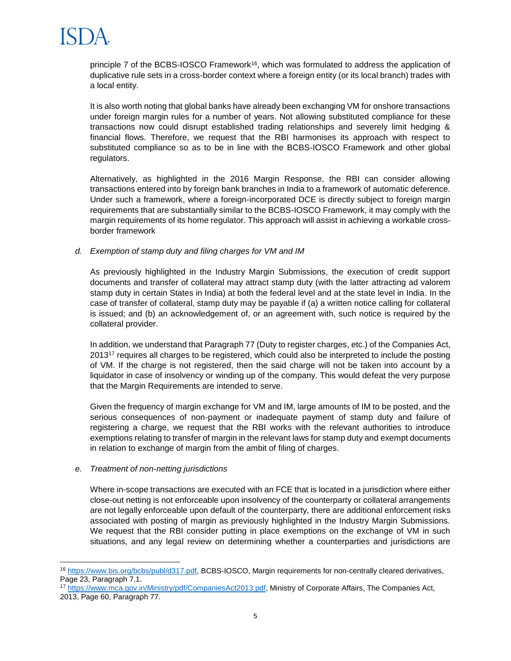

principle 7 of the BCBS-IOSCO Framework<sup>16</sup>, which was formulated to address the application of duplicative rule sets in a cross-border context where a foreign entity (or its local branch) trades with a local entity.

It is also worth noting that global banks have already been exchanging VM for onshore transactions under foreign margin rules for a number of years. Not allowing substituted compliance for these transactions now could disrupt established trading relationships and severely limit hedging & financial flows. Therefore, we request that the RBI harmonises its approach with respect to substituted compliance so as to be in line with the BCBS-IOSCO Framework and other global regulators.

Alternatively, as highlighted in the 2016 Margin Response, the RBI can consider allowing transactions entered into by foreign bank branches in India to a framework of automatic deference. Under such a framework, where a foreign-incorporated DCE is directly subject to foreign margin requirements that are substantially similar to the BCBS-IOSCO Framework, it may comply with the margin requirements of its home regulator. This approach will assist in achieving a workable crossborder framework

#### *d. Exemption of stamp duty and filing charges for VM and IM*

As previously highlighted in the Industry Margin Submissions, the execution of credit support documents and transfer of collateral may attract stamp duty (with the latter attracting ad valorem stamp duty in certain States in India) at both the federal level and at the state level in India. In the case of transfer of collateral, stamp duty may be payable if (a) a written notice calling for collateral is issued; and (b) an acknowledgement of, or an agreement with, such notice is required by the collateral provider.

In addition, we understand that Paragraph 77 (Duty to register charges, etc.) of the Companies Act,  $2013^{17}$  requires all charges to be registered, which could also be interpreted to include the posting of VM. If the charge is not registered, then the said charge will not be taken into account by a liquidator in case of insolvency or winding up of the company. This would defeat the very purpose that the Margin Requirements are intended to serve.

Given the frequency of margin exchange for VM and IM, large amounts of IM to be posted, and the serious consequences of non-payment or inadequate payment of stamp duty and failure of registering a charge, we request that the RBI works with the relevant authorities to introduce exemptions relating to transfer of margin in the relevant laws for stamp duty and exempt documents in relation to exchange of margin from the ambit of filing of charges.

#### *e. Treatment of non-netting jurisdictions*

 $\overline{a}$ 

Where in-scope transactions are executed with an FCE that is located in a jurisdiction where either close-out netting is not enforceable upon insolvency of the counterparty or collateral arrangements are not legally enforceable upon default of the counterparty, there are additional enforcement risks associated with posting of margin as previously highlighted in the Industry Margin Submissions. We request that the RBI consider putting in place exemptions on the exchange of VM in such situations, and any legal review on determining whether a counterparties and jurisdictions are

<sup>16</sup> [https://www.bis.org/bcbs/publ/d317.pdf,](https://www.bis.org/bcbs/publ/d317.pdf) BCBS-IOSCO, Margin requirements for non-centrally cleared derivatives, Page 23, Paragraph 7.1.

<sup>17</sup> [https://www.mca.gov.in/Ministry/pdf/CompaniesAct2013.pdf,](https://www.mca.gov.in/Ministry/pdf/CompaniesAct2013.pdf) Ministry of Corporate Affairs, The Companies Act, 2013, Page 60, Paragraph 77.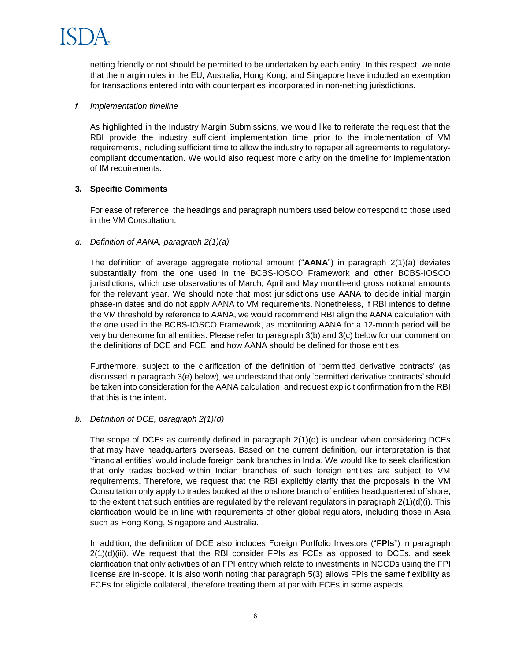

netting friendly or not should be permitted to be undertaken by each entity. In this respect, we note that the margin rules in the EU, Australia, Hong Kong, and Singapore have included an exemption for transactions entered into with counterparties incorporated in non-netting jurisdictions.

#### *f. Implementation timeline*

As highlighted in the Industry Margin Submissions, we would like to reiterate the request that the RBI provide the industry sufficient implementation time prior to the implementation of VM requirements, including sufficient time to allow the industry to repaper all agreements to regulatorycompliant documentation. We would also request more clarity on the timeline for implementation of IM requirements.

#### **3. Specific Comments**

For ease of reference, the headings and paragraph numbers used below correspond to those used in the VM Consultation.

#### *a. Definition of AANA, paragraph 2(1)(a)*

The definition of average aggregate notional amount ("**AANA**") in paragraph 2(1)(a) deviates substantially from the one used in the BCBS-IOSCO Framework and other BCBS-IOSCO jurisdictions, which use observations of March, April and May month-end gross notional amounts for the relevant year. We should note that most jurisdictions use AANA to decide initial margin phase-in dates and do not apply AANA to VM requirements. Nonetheless, if RBI intends to define the VM threshold by reference to AANA, we would recommend RBI align the AANA calculation with the one used in the BCBS-IOSCO Framework, as monitoring AANA for a 12-month period will be very burdensome for all entities. Please refer to paragraph 3(b) and 3(c) below for our comment on the definitions of DCE and FCE, and how AANA should be defined for those entities.

Furthermore, subject to the clarification of the definition of 'permitted derivative contracts' (as discussed in paragraph 3(e) below), we understand that only 'permitted derivative contracts' should be taken into consideration for the AANA calculation, and request explicit confirmation from the RBI that this is the intent.

### *b. Definition of DCE, paragraph 2(1)(d)*

The scope of DCEs as currently defined in paragraph 2(1)(d) is unclear when considering DCEs that may have headquarters overseas. Based on the current definition, our interpretation is that 'financial entities' would include foreign bank branches in India. We would like to seek clarification that only trades booked within Indian branches of such foreign entities are subject to VM requirements. Therefore, we request that the RBI explicitly clarify that the proposals in the VM Consultation only apply to trades booked at the onshore branch of entities headquartered offshore, to the extent that such entities are regulated by the relevant regulators in paragraph  $2(1)(d)(i)$ . This clarification would be in line with requirements of other global regulators, including those in Asia such as Hong Kong, Singapore and Australia.

In addition, the definition of DCE also includes Foreign Portfolio Investors ("**FPIs**") in paragraph  $2(1)(d)(iii)$ . We request that the RBI consider FPIs as FCEs as opposed to DCEs, and seek clarification that only activities of an FPI entity which relate to investments in NCCDs using the FPI license are in-scope. It is also worth noting that paragraph 5(3) allows FPIs the same flexibility as FCEs for eligible collateral, therefore treating them at par with FCEs in some aspects.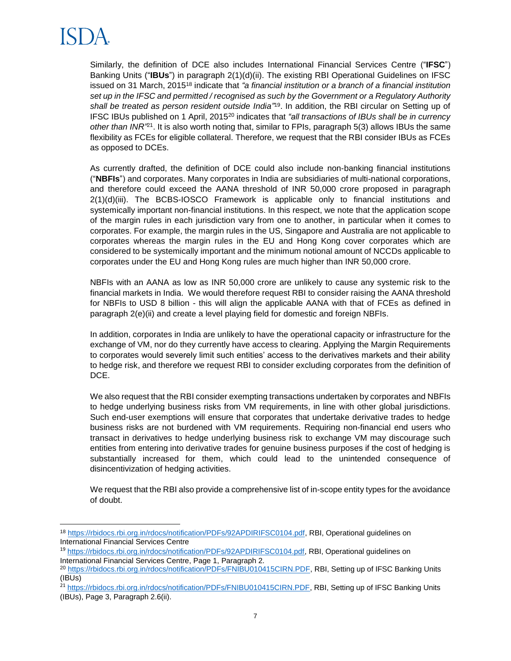$\overline{\phantom{a}}$ 

Similarly, the definition of DCE also includes International Financial Services Centre ("**IFSC**") Banking Units ("**IBUs**") in paragraph 2(1)(d)(ii). The existing RBI Operational Guidelines on IFSC issued on 31 March, 2015<sup>18</sup> indicate that *"a financial institution or a branch of a financial institution set up in the IFSC and permitted / recognised as such by the Government or a Regulatory Authority*  shall be treated as person resident outside *India*<sup>ng</sup>. In addition, the RBI circular on Setting up of IFSC IBUs published on 1 April, 2015<sup>20</sup> indicates that *"all transactions of IBUs shall be in currency*  other than INR<sup>'21</sup>. It is also worth noting that, similar to FPIs, paragraph 5(3) allows IBUs the same flexibility as FCEs for eligible collateral. Therefore, we request that the RBI consider IBUs as FCEs as opposed to DCEs.

As currently drafted, the definition of DCE could also include non-banking financial institutions ("**NBFIs**") and corporates. Many corporates in India are subsidiaries of multi-national corporations, and therefore could exceed the AANA threshold of INR 50,000 crore proposed in paragraph 2(1)(d)(iii). The BCBS-IOSCO Framework is applicable only to financial institutions and systemically important non-financial institutions. In this respect, we note that the application scope of the margin rules in each jurisdiction vary from one to another, in particular when it comes to corporates. For example, the margin rules in the US, Singapore and Australia are not applicable to corporates whereas the margin rules in the EU and Hong Kong cover corporates which are considered to be systemically important and the minimum notional amount of NCCDs applicable to corporates under the EU and Hong Kong rules are much higher than INR 50,000 crore.

NBFIs with an AANA as low as INR 50,000 crore are unlikely to cause any systemic risk to the financial markets in India. We would therefore request RBI to consider raising the AANA threshold for NBFIs to USD 8 billion - this will align the applicable AANA with that of FCEs as defined in paragraph 2(e)(ii) and create a level playing field for domestic and foreign NBFIs.

In addition, corporates in India are unlikely to have the operational capacity or infrastructure for the exchange of VM, nor do they currently have access to clearing. Applying the Margin Requirements to corporates would severely limit such entities' access to the derivatives markets and their ability to hedge risk, and therefore we request RBI to consider excluding corporates from the definition of DCE.

We also request that the RBI consider exempting transactions undertaken by corporates and NBFIs to hedge underlying business risks from VM requirements, in line with other global jurisdictions. Such end-user exemptions will ensure that corporates that undertake derivative trades to hedge business risks are not burdened with VM requirements. Requiring non-financial end users who transact in derivatives to hedge underlying business risk to exchange VM may discourage such entities from entering into derivative trades for genuine business purposes if the cost of hedging is substantially increased for them, which could lead to the unintended consequence of disincentivization of hedging activities.

We request that the RBI also provide a comprehensive list of in-scope entity types for the avoidance of doubt.

<sup>18</sup> [https://rbidocs.rbi.org.in/rdocs/notification/PDFs/92APDIRIFSC0104.pdf,](https://rbidocs.rbi.org.in/rdocs/notification/PDFs/92APDIRIFSC0104.pdf) RBI, Operational guidelines on International Financial Services Centre

<sup>19</sup> [https://rbidocs.rbi.org.in/rdocs/notification/PDFs/92APDIRIFSC0104.pdf,](https://rbidocs.rbi.org.in/rdocs/notification/PDFs/92APDIRIFSC0104.pdf) RBI, Operational guidelines on International Financial Services Centre, Page 1, Paragraph 2.

<sup>20</sup> [https://rbidocs.rbi.org.in/rdocs/notification/PDFs/FNIBU010415CIRN.PDF,](https://rbidocs.rbi.org.in/rdocs/notification/PDFs/FNIBU010415CIRN.PDF) RBI, Setting up of IFSC Banking Units (IBUs)

<sup>&</sup>lt;sup>21</sup> [https://rbidocs.rbi.org.in/rdocs/notification/PDFs/FNIBU010415CIRN.PDF,](https://rbidocs.rbi.org.in/rdocs/notification/PDFs/FNIBU010415CIRN.PDF) RBI, Setting up of IFSC Banking Units (IBUs), Page 3, Paragraph 2.6(ii).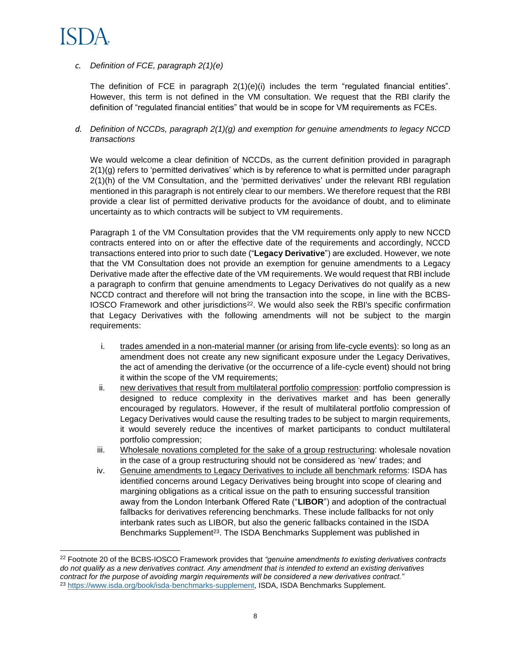

l

### *c. Definition of FCE, paragraph 2(1)(e)*

The definition of FCE in paragraph  $2(1)(e)(i)$  includes the term "regulated financial entities". However, this term is not defined in the VM consultation. We request that the RBI clarify the definition of "regulated financial entities" that would be in scope for VM requirements as FCEs.

#### *d. Definition of NCCDs, paragraph 2(1)(g) and exemption for genuine amendments to legacy NCCD transactions*

We would welcome a clear definition of NCCDs, as the current definition provided in paragraph 2(1)(g) refers to 'permitted derivatives' which is by reference to what is permitted under paragraph 2(1)(h) of the VM Consultation, and the 'permitted derivatives' under the relevant RBI regulation mentioned in this paragraph is not entirely clear to our members. We therefore request that the RBI provide a clear list of permitted derivative products for the avoidance of doubt, and to eliminate uncertainty as to which contracts will be subject to VM requirements.

Paragraph 1 of the VM Consultation provides that the VM requirements only apply to new NCCD contracts entered into on or after the effective date of the requirements and accordingly, NCCD transactions entered into prior to such date ("**Legacy Derivative**") are excluded. However, we note that the VM Consultation does not provide an exemption for genuine amendments to a Legacy Derivative made after the effective date of the VM requirements. We would request that RBI include a paragraph to confirm that genuine amendments to Legacy Derivatives do not qualify as a new NCCD contract and therefore will not bring the transaction into the scope, in line with the BCBS-IOSCO Framework and other jurisdictions<sup>22</sup>. We would also seek the RBI's specific confirmation that Legacy Derivatives with the following amendments will not be subject to the margin requirements:

- i. trades amended in a non-material manner (or arising from life-cycle events): so long as an amendment does not create any new significant exposure under the Legacy Derivatives, the act of amending the derivative (or the occurrence of a life-cycle event) should not bring it within the scope of the VM requirements;
- ii. new derivatives that result from multilateral portfolio compression: portfolio compression is designed to reduce complexity in the derivatives market and has been generally encouraged by regulators. However, if the result of multilateral portfolio compression of Legacy Derivatives would cause the resulting trades to be subject to margin requirements, it would severely reduce the incentives of market participants to conduct multilateral portfolio compression;
- iii. Wholesale novations completed for the sake of a group restructuring: wholesale novation in the case of a group restructuring should not be considered as 'new' trades; and
- iv. Genuine amendments to Legacy Derivatives to include all benchmark reforms: ISDA has identified concerns around Legacy Derivatives being brought into scope of clearing and margining obligations as a critical issue on the path to ensuring successful transition away from the London Interbank Offered Rate ("**LIBOR**") and adoption of the contractual fallbacks for derivatives referencing benchmarks. These include fallbacks for not only interbank rates such as LIBOR, but also the generic fallbacks contained in the ISDA Benchmarks Supplement<sup>23</sup>. The ISDA Benchmarks Supplement was published in

<sup>22</sup> Footnote 20 of the BCBS-IOSCO Framework provides that *"genuine amendments to existing derivatives contracts do not qualify as a new derivatives contract. Any amendment that is intended to extend an existing derivatives contract for the purpose of avoiding margin requirements will be considered a new derivatives contract."* <sup>23</sup> [https://www.isda.org/book/isda-benchmarks-supplement,](https://www.isda.org/book/isda-benchmarks-supplement) ISDA, ISDA Benchmarks Supplement.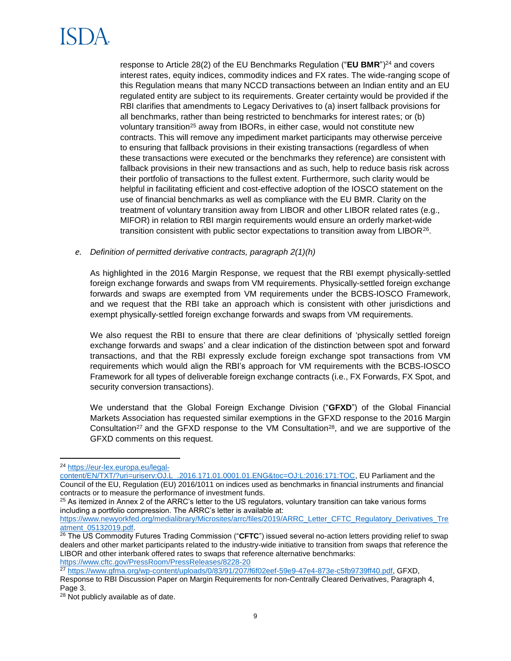response to Article 28(2) of the EU Benchmarks Regulation ("EU BMR")<sup>24</sup> and covers interest rates, equity indices, commodity indices and FX rates. The wide-ranging scope of this Regulation means that many NCCD transactions between an Indian entity and an EU regulated entity are subject to its requirements. Greater certainty would be provided if the RBI clarifies that amendments to Legacy Derivatives to (a) insert fallback provisions for all benchmarks, rather than being restricted to benchmarks for interest rates; or (b) voluntary transition<sup>25</sup> away from IBORs, in either case, would not constitute new contracts. This will remove any impediment market participants may otherwise perceive to ensuring that fallback provisions in their existing transactions (regardless of when these transactions were executed or the benchmarks they reference) are consistent with fallback provisions in their new transactions and as such, help to reduce basis risk across their portfolio of transactions to the fullest extent. Furthermore, such clarity would be helpful in facilitating efficient and cost-effective adoption of the IOSCO statement on the use of financial benchmarks as well as compliance with the EU BMR. Clarity on the treatment of voluntary transition away from LIBOR and other LIBOR related rates (e.g., MIFOR) in relation to RBI margin requirements would ensure an orderly market-wide transition consistent with public sector expectations to transition away from LIBOR<sup>26</sup>.

### *e. Definition of permitted derivative contracts, paragraph 2(1)(h)*

As highlighted in the 2016 Margin Response, we request that the RBI exempt physically-settled foreign exchange forwards and swaps from VM requirements. Physically-settled foreign exchange forwards and swaps are exempted from VM requirements under the BCBS-IOSCO Framework, and we request that the RBI take an approach which is consistent with other jurisdictions and exempt physically-settled foreign exchange forwards and swaps from VM requirements.

We also request the RBI to ensure that there are clear definitions of 'physically settled foreign exchange forwards and swaps' and a clear indication of the distinction between spot and forward transactions, and that the RBI expressly exclude foreign exchange spot transactions from VM requirements which would align the RBI's approach for VM requirements with the BCBS-IOSCO Framework for all types of deliverable foreign exchange contracts (i.e., FX Forwards, FX Spot, and security conversion transactions).

We understand that the Global Foreign Exchange Division ("**GFXD**") of the Global Financial Markets Association has requested similar exemptions in the GFXD response to the 2016 Margin Consultation<sup>27</sup> and the GFXD response to the VM Consultation<sup>28</sup>, and we are supportive of the GFXD comments on this request.

 $\overline{\phantom{a}}$ 

<sup>25</sup> As itemized in Annex 2 of the ARRC's letter to the US regulators, voluntary transition can take various forms including a portfolio compression. The ARRC's letter is available at:

<sup>27</sup> [https://www.gfma.org/wp-content/uploads/0/83/91/207/f6f02eef-59e9-47e4-873e-c5fb9739ff40.pdf,](https://www.gfma.org/wp-content/uploads/0/83/91/207/f6f02eef-59e9-47e4-873e-c5fb9739ff40.pdf) GFXD,

<sup>24</sup> [https://eur-lex.europa.eu/legal-](https://eur-lex.europa.eu/legal-content/EN/TXT/?uri=uriserv:OJ.L_.2016.171.01.0001.01.ENG&toc=OJ:L:2016:171:TOC)

[content/EN/TXT/?uri=uriserv:OJ.L\\_.2016.171.01.0001.01.ENG&toc=OJ:L:2016:171:TOC,](https://eur-lex.europa.eu/legal-content/EN/TXT/?uri=uriserv:OJ.L_.2016.171.01.0001.01.ENG&toc=OJ:L:2016:171:TOC) EU Parliament and the Council of the EU, Regulation (EU) 2016/1011 on indices used as benchmarks in financial instruments and financial contracts or to measure the performance of investment funds.

[https://www.newyorkfed.org/medialibrary/Microsites/arrc/files/2019/ARRC\\_Letter\\_CFTC\\_Regulatory\\_Derivatives\\_Tre](https://www.newyorkfed.org/medialibrary/Microsites/arrc/files/2019/ARRC_Letter_CFTC_Regulatory_Derivatives_Treatment_05132019.pdf) [atment\\_05132019.pdf.](https://www.newyorkfed.org/medialibrary/Microsites/arrc/files/2019/ARRC_Letter_CFTC_Regulatory_Derivatives_Treatment_05132019.pdf)

<sup>26</sup> The US Commodity Futures Trading Commission ("**CFTC**") issued several no-action letters providing relief to swap dealers and other market participants related to the industry-wide initiative to transition from swaps that reference the LIBOR and other interbank offered rates to swaps that reference alternative benchmarks: <https://www.cftc.gov/PressRoom/PressReleases/8228-20>

Response to RBI Discussion Paper on Margin Requirements for non-Centrally Cleared Derivatives, Paragraph 4, Page 3.

<sup>&</sup>lt;sup>28</sup> Not publicly available as of date.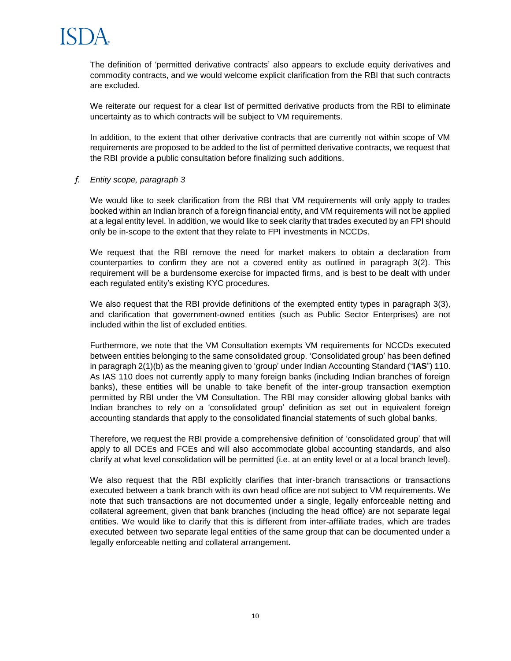

The definition of 'permitted derivative contracts' also appears to exclude equity derivatives and commodity contracts, and we would welcome explicit clarification from the RBI that such contracts are excluded.

We reiterate our request for a clear list of permitted derivative products from the RBI to eliminate uncertainty as to which contracts will be subject to VM requirements.

In addition, to the extent that other derivative contracts that are currently not within scope of VM requirements are proposed to be added to the list of permitted derivative contracts, we request that the RBI provide a public consultation before finalizing such additions.

#### *f. Entity scope, paragraph 3*

We would like to seek clarification from the RBI that VM requirements will only apply to trades booked within an Indian branch of a foreign financial entity, and VM requirements will not be applied at a legal entity level. In addition, we would like to seek clarity that trades executed by an FPI should only be in-scope to the extent that they relate to FPI investments in NCCDs.

We request that the RBI remove the need for market makers to obtain a declaration from counterparties to confirm they are not a covered entity as outlined in paragraph 3(2). This requirement will be a burdensome exercise for impacted firms, and is best to be dealt with under each regulated entity's existing KYC procedures.

We also request that the RBI provide definitions of the exempted entity types in paragraph 3(3), and clarification that government-owned entities (such as Public Sector Enterprises) are not included within the list of excluded entities.

Furthermore, we note that the VM Consultation exempts VM requirements for NCCDs executed between entities belonging to the same consolidated group. 'Consolidated group' has been defined in paragraph 2(1)(b) as the meaning given to 'group' under Indian Accounting Standard ("**IAS**") 110. As IAS 110 does not currently apply to many foreign banks (including Indian branches of foreign banks), these entities will be unable to take benefit of the inter-group transaction exemption permitted by RBI under the VM Consultation. The RBI may consider allowing global banks with Indian branches to rely on a 'consolidated group' definition as set out in equivalent foreign accounting standards that apply to the consolidated financial statements of such global banks.

Therefore, we request the RBI provide a comprehensive definition of 'consolidated group' that will apply to all DCEs and FCEs and will also accommodate global accounting standards, and also clarify at what level consolidation will be permitted (i.e. at an entity level or at a local branch level).

We also request that the RBI explicitly clarifies that inter-branch transactions or transactions executed between a bank branch with its own head office are not subject to VM requirements. We note that such transactions are not documented under a single, legally enforceable netting and collateral agreement, given that bank branches (including the head office) are not separate legal entities. We would like to clarify that this is different from inter-affiliate trades, which are trades executed between two separate legal entities of the same group that can be documented under a legally enforceable netting and collateral arrangement.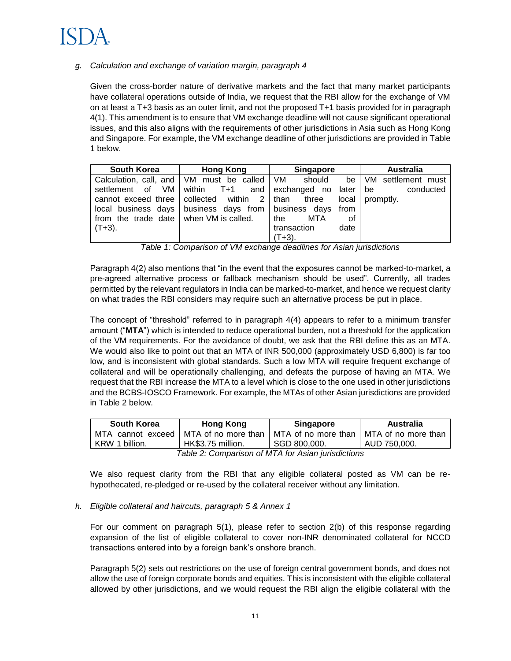

#### *g. Calculation and exchange of variation margin, paragraph 4*

Given the cross-border nature of derivative markets and the fact that many market participants have collateral operations outside of India, we request that the RBI allow for the exchange of VM on at least a T+3 basis as an outer limit, and not the proposed T+1 basis provided for in paragraph 4(1). This amendment is to ensure that VM exchange deadline will not cause significant operational issues, and this also aligns with the requirements of other jurisdictions in Asia such as Hong Kong and Singapore. For example, the VM exchange deadline of other jurisdictions are provided in Table 1 below.

| <b>South Korea</b>                     | <b>Hong Kong</b>                                          | <b>Singapore</b>                                                                  | <b>Australia</b>        |
|----------------------------------------|-----------------------------------------------------------|-----------------------------------------------------------------------------------|-------------------------|
|                                        | Calculation, call, and VM must be called VM should        |                                                                                   | be   VM settlement must |
|                                        |                                                           | settlement of VM within T+1 and exchanged no later be                             | conducted               |
|                                        |                                                           | cannot exceed three $\vert$ collected within $2 \vert$ than three local promptly. |                         |
|                                        | local business days business days from business days from |                                                                                   |                         |
| from the trade date when VM is called. |                                                           | MTA<br>I the<br>οf                                                                |                         |
| $(T+3)$ .                              |                                                           | transaction<br>date                                                               |                         |
|                                        |                                                           | $(T+3)$ .                                                                         |                         |

*Table 1: Comparison of VM exchange deadlines for Asian jurisdictions*

Paragraph 4(2) also mentions that "in the event that the exposures cannot be marked-to-market, a pre-agreed alternative process or fallback mechanism should be used". Currently, all trades permitted by the relevant regulators in India can be marked-to-market, and hence we request clarity on what trades the RBI considers may require such an alternative process be put in place.

The concept of "threshold" referred to in paragraph 4(4) appears to refer to a minimum transfer amount ("**MTA**") which is intended to reduce operational burden, not a threshold for the application of the VM requirements. For the avoidance of doubt, we ask that the RBI define this as an MTA. We would also like to point out that an MTA of INR 500,000 (approximately USD 6,800) is far too low, and is inconsistent with global standards. Such a low MTA will require frequent exchange of collateral and will be operationally challenging, and defeats the purpose of having an MTA. We request that the RBI increase the MTA to a level which is close to the one used in other jurisdictions and the BCBS-IOSCO Framework. For example, the MTAs of other Asian jurisdictions are provided in Table 2 below.

| South Korea                                        | <b>Hong Kong</b>                                              | <b>Singapore</b> | Australia           |
|----------------------------------------------------|---------------------------------------------------------------|------------------|---------------------|
|                                                    | MTA cannot exceed   MTA of no more than   MTA of no more than |                  | MTA of no more than |
| KRW 1 billion.                                     | HK\$3.75 million.                                             | ⅠSGD 800.000.    | AUD 750,000.        |
| Table 2: Comparison of MTA for Asian iurisdictions |                                                               |                  |                     |

*Table 2: Comparison of MTA for Asian jurisdictions*

We also request clarity from the RBI that any eligible collateral posted as VM can be rehypothecated, re-pledged or re-used by the collateral receiver without any limitation.

#### *h. Eligible collateral and haircuts, paragraph 5 & Annex 1*

For our comment on paragraph 5(1), please refer to section 2(b) of this response regarding expansion of the list of eligible collateral to cover non-INR denominated collateral for NCCD transactions entered into by a foreign bank's onshore branch.

Paragraph 5(2) sets out restrictions on the use of foreign central government bonds, and does not allow the use of foreign corporate bonds and equities. This is inconsistent with the eligible collateral allowed by other jurisdictions, and we would request the RBI align the eligible collateral with the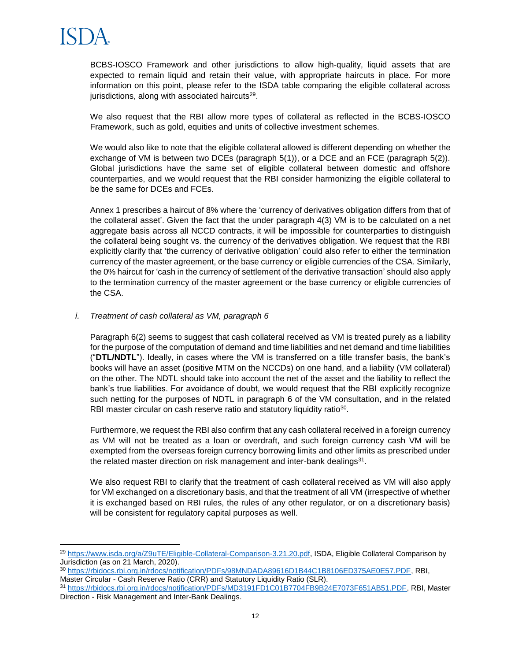

 $\overline{a}$ 

BCBS-IOSCO Framework and other jurisdictions to allow high-quality, liquid assets that are expected to remain liquid and retain their value, with appropriate haircuts in place. For more information on this point, please refer to the ISDA table comparing the eligible collateral across jurisdictions, along with associated haircuts<sup>29</sup>.

We also request that the RBI allow more types of collateral as reflected in the BCBS-IOSCO Framework, such as gold, equities and units of collective investment schemes.

We would also like to note that the eligible collateral allowed is different depending on whether the exchange of VM is between two DCEs (paragraph 5(1)), or a DCE and an FCE (paragraph 5(2)). Global jurisdictions have the same set of eligible collateral between domestic and offshore counterparties, and we would request that the RBI consider harmonizing the eligible collateral to be the same for DCEs and FCEs.

Annex 1 prescribes a haircut of 8% where the 'currency of derivatives obligation differs from that of the collateral asset'. Given the fact that the under paragraph 4(3) VM is to be calculated on a net aggregate basis across all NCCD contracts, it will be impossible for counterparties to distinguish the collateral being sought vs. the currency of the derivatives obligation. We request that the RBI explicitly clarify that 'the currency of derivative obligation' could also refer to either the termination currency of the master agreement, or the base currency or eligible currencies of the CSA. Similarly, the 0% haircut for 'cash in the currency of settlement of the derivative transaction' should also apply to the termination currency of the master agreement or the base currency or eligible currencies of the CSA.

#### *i. Treatment of cash collateral as VM, paragraph 6*

Paragraph 6(2) seems to suggest that cash collateral received as VM is treated purely as a liability for the purpose of the computation of demand and time liabilities and net demand and time liabilities ("**DTL/NDTL**"). Ideally, in cases where the VM is transferred on a title transfer basis, the bank's books will have an asset (positive MTM on the NCCDs) on one hand, and a liability (VM collateral) on the other. The NDTL should take into account the net of the asset and the liability to reflect the bank's true liabilities. For avoidance of doubt, we would request that the RBI explicitly recognize such netting for the purposes of NDTL in paragraph 6 of the VM consultation, and in the related RBI master circular on cash reserve ratio and statutory liquidity ratio<sup>30</sup>.

Furthermore, we request the RBI also confirm that any cash collateral received in a foreign currency as VM will not be treated as a loan or overdraft, and such foreign currency cash VM will be exempted from the overseas foreign currency borrowing limits and other limits as prescribed under the related master direction on risk management and inter-bank dealings<sup>31</sup>.

We also request RBI to clarify that the treatment of cash collateral received as VM will also apply for VM exchanged on a discretionary basis, and that the treatment of all VM (irrespective of whether it is exchanged based on RBI rules, the rules of any other regulator, or on a discretionary basis) will be consistent for regulatory capital purposes as well.

<sup>&</sup>lt;sup>29</sup> [https://www.isda.org/a/Z9uTE/Eligible-Collateral-Comparison-3.21.20.pdf,](https://www.isda.org/a/Z9uTE/Eligible-Collateral-Comparison-3.21.20.pdf) ISDA, Eligible Collateral Comparison by Jurisdiction (as on 21 March, 2020).

<sup>30</sup> [https://rbidocs.rbi.org.in/rdocs/notification/PDFs/98MNDADA89616D1B44C1B8106ED375AE0E57.PDF,](https://rbidocs.rbi.org.in/rdocs/notification/PDFs/98MNDADA89616D1B44C1B8106ED375AE0E57.PDF) RBI, Master Circular - Cash Reserve Ratio (CRR) and Statutory Liquidity Ratio (SLR).

<sup>31</sup> [https://rbidocs.rbi.org.in/rdocs/notification/PDFs/MD3191FD1C01B7704FB9B24E7073F651AB51.PDF,](https://rbidocs.rbi.org.in/rdocs/notification/PDFs/MD3191FD1C01B7704FB9B24E7073F651AB51.PDF) RBI, Master Direction - Risk Management and Inter-Bank Dealings.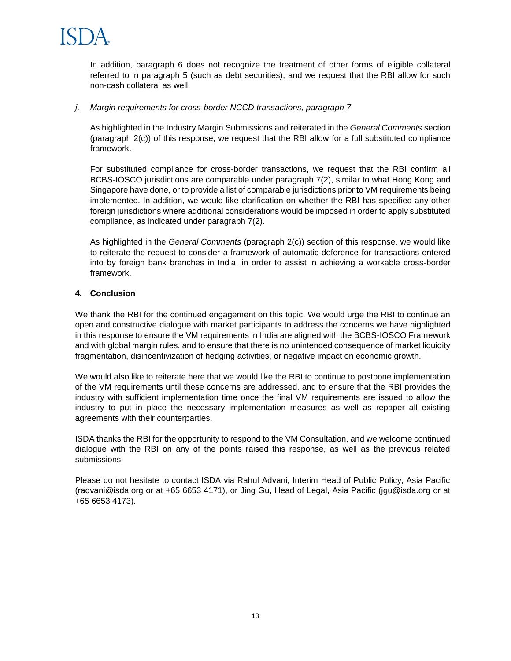

In addition, paragraph 6 does not recognize the treatment of other forms of eligible collateral referred to in paragraph 5 (such as debt securities), and we request that the RBI allow for such non-cash collateral as well.

#### *j. Margin requirements for cross-border NCCD transactions, paragraph 7*

As highlighted in the Industry Margin Submissions and reiterated in the *General Comments* section (paragraph 2(c)) of this response, we request that the RBI allow for a full substituted compliance framework.

For substituted compliance for cross-border transactions, we request that the RBI confirm all BCBS-IOSCO jurisdictions are comparable under paragraph 7(2), similar to what Hong Kong and Singapore have done, or to provide a list of comparable jurisdictions prior to VM requirements being implemented. In addition, we would like clarification on whether the RBI has specified any other foreign jurisdictions where additional considerations would be imposed in order to apply substituted compliance, as indicated under paragraph 7(2).

As highlighted in the *General Comments* (paragraph 2(c)) section of this response, we would like to reiterate the request to consider a framework of automatic deference for transactions entered into by foreign bank branches in India, in order to assist in achieving a workable cross-border framework.

#### **4. Conclusion**

We thank the RBI for the continued engagement on this topic. We would urge the RBI to continue an open and constructive dialogue with market participants to address the concerns we have highlighted in this response to ensure the VM requirements in India are aligned with the BCBS-IOSCO Framework and with global margin rules, and to ensure that there is no unintended consequence of market liquidity fragmentation, disincentivization of hedging activities, or negative impact on economic growth.

We would also like to reiterate here that we would like the RBI to continue to postpone implementation of the VM requirements until these concerns are addressed, and to ensure that the RBI provides the industry with sufficient implementation time once the final VM requirements are issued to allow the industry to put in place the necessary implementation measures as well as repaper all existing agreements with their counterparties.

ISDA thanks the RBI for the opportunity to respond to the VM Consultation, and we welcome continued dialogue with the RBI on any of the points raised this response, as well as the previous related submissions.

Please do not hesitate to contact ISDA via Rahul Advani, Interim Head of Public Policy, Asia Pacific (radvani@isda.org or at +65 6653 4171), or Jing Gu, Head of Legal, Asia Pacific (jgu@isda.org or at +65 6653 4173).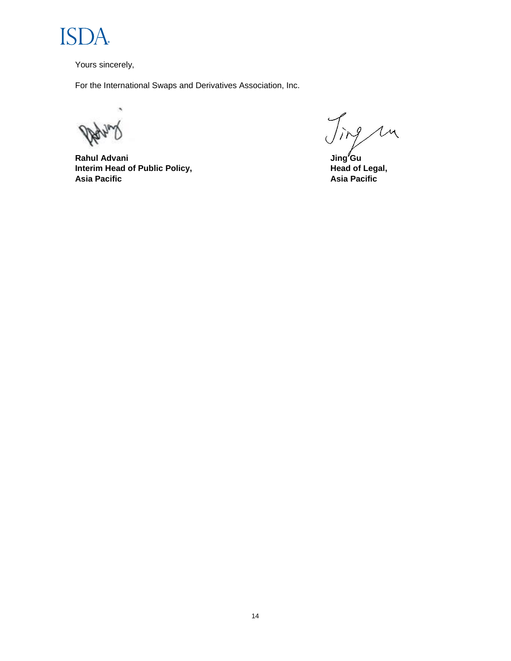

Yours sincerely,

For the International Swaps and Derivatives Association, Inc.

×,

**Rahul Advani Jing Gu Interim Head of Public Policy, Asia Pacific Asia Pacific**

 $\mathcal{U}$  $\sqrt{q}$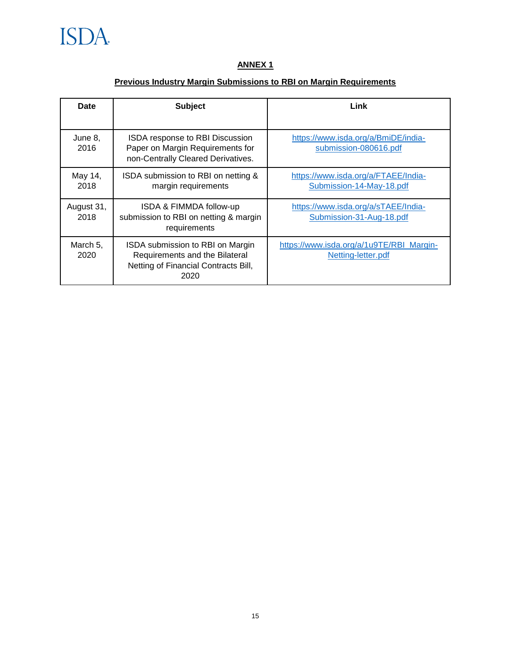

## **ANNEX 1**

# **Previous Industry Margin Submissions to RBI on Margin Requirements**

| Date               | <b>Subject</b>                                                                                                     | Link                                                            |
|--------------------|--------------------------------------------------------------------------------------------------------------------|-----------------------------------------------------------------|
| June 8,<br>2016    | ISDA response to RBI Discussion<br>Paper on Margin Requirements for<br>non-Centrally Cleared Derivatives.          | https://www.isda.org/a/BmiDE/india-<br>submission-080616.pdf    |
| May 14,<br>2018    | ISDA submission to RBI on netting &<br>margin requirements                                                         | https://www.isda.org/a/FTAEE/India-<br>Submission-14-May-18.pdf |
| August 31,<br>2018 | ISDA & FIMMDA follow-up<br>submission to RBI on netting & margin<br>requirements                                   | https://www.isda.org/a/sTAEE/India-<br>Submission-31-Aug-18.pdf |
| March 5,<br>2020   | ISDA submission to RBI on Margin<br>Requirements and the Bilateral<br>Netting of Financial Contracts Bill,<br>2020 | https://www.isda.org/a/1u9TE/RBI_Margin-<br>Netting-letter.pdf  |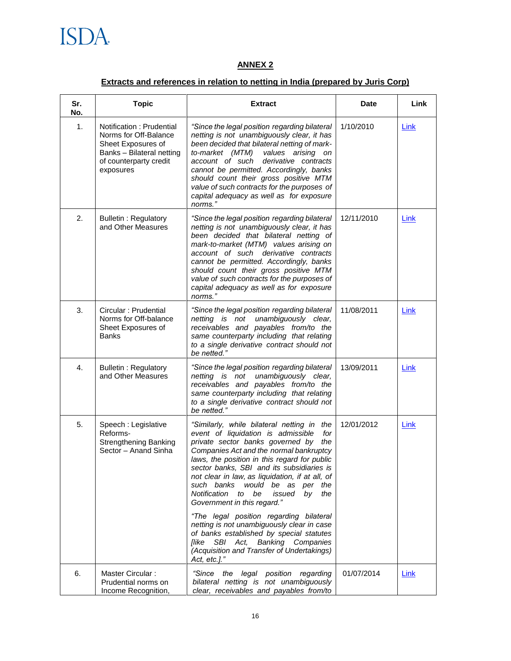**ISDA** 

## **ANNEX 2**

# **Extracts and references in relation to netting in India (prepared by Juris Corp)**

| Sr.<br>No. | <b>Topic</b>                                                                                                                                | <b>Extract</b>                                                                                                                                                                                                                                                                                                                                                                                                                                                                                                                                                                                                                                                                                    | <b>Date</b> | Link        |
|------------|---------------------------------------------------------------------------------------------------------------------------------------------|---------------------------------------------------------------------------------------------------------------------------------------------------------------------------------------------------------------------------------------------------------------------------------------------------------------------------------------------------------------------------------------------------------------------------------------------------------------------------------------------------------------------------------------------------------------------------------------------------------------------------------------------------------------------------------------------------|-------------|-------------|
| 1.         | Notification: Prudential<br>Norms for Off-Balance<br>Sheet Exposures of<br>Banks - Bilateral netting<br>of counterparty credit<br>exposures | "Since the legal position regarding bilateral<br>netting is not unambiguously clear, it has<br>been decided that bilateral netting of mark-<br>to-market (MTM)<br>values arising on<br>account of such<br>derivative contracts<br>cannot be permitted. Accordingly, banks<br>should count their gross positive MTM<br>value of such contracts for the purposes of<br>capital adequacy as well as for exposure<br>norms."                                                                                                                                                                                                                                                                          | 1/10/2010   | <b>Link</b> |
| 2.         | <b>Bulletin: Regulatory</b><br>and Other Measures                                                                                           | "Since the legal position regarding bilateral<br>netting is not unambiguously clear, it has<br>been decided that bilateral netting of<br>mark-to-market (MTM) values arising on<br>account of such derivative contracts<br>cannot be permitted. Accordingly, banks<br>should count their gross positive MTM<br>value of such contracts for the purposes of<br>capital adequacy as well as for exposure<br>norms."                                                                                                                                                                                                                                                                                 | 12/11/2010  | Link        |
| 3.         | Circular: Prudential<br>Norms for Off-balance<br>Sheet Exposures of<br><b>Banks</b>                                                         | "Since the legal position regarding bilateral<br>netting is not unambiguously clear,<br>receivables and payables from/to the<br>same counterparty including that relating<br>to a single derivative contract should not<br>be netted."                                                                                                                                                                                                                                                                                                                                                                                                                                                            | 11/08/2011  | Link        |
| 4.         | <b>Bulletin: Regulatory</b><br>and Other Measures                                                                                           | "Since the legal position regarding bilateral<br>netting is not unambiguously clear,<br>receivables and payables from/to the<br>same counterparty including that relating<br>to a single derivative contract should not<br>be netted."                                                                                                                                                                                                                                                                                                                                                                                                                                                            | 13/09/2011  | Link        |
| 5.         | Speech : Legislative<br>Reforms-<br><b>Strengthening Banking</b><br>Sector - Anand Sinha                                                    | "Similarly, while bilateral netting in<br>the<br>event of liquidation is admissible<br>for<br>private sector banks governed by<br>the<br>Companies Act and the normal bankruptcy<br>laws, the position in this regard for public<br>sector banks, SBI and its subsidiaries is<br>not clear in law, as liquidation, if at all, of<br>such banks<br>would be as<br>per<br>the<br>Notification<br>to<br>be<br>bv<br>the<br>issued<br>Government in this regard."<br>"The legal position regarding bilateral<br>netting is not unambiguously clear in case<br>of banks established by special statutes<br><i>llike</i><br>SBI<br>Act, Banking Companies<br>(Acquisition and Transfer of Undertakings) | 12/01/2012  | Link        |
| 6.         | Master Circular:<br>Prudential norms on<br>Income Recognition,                                                                              | Act, etc.]."<br>"Since the legal position regarding<br>bilateral netting is not unambiguously<br>clear, receivables and payables from/to                                                                                                                                                                                                                                                                                                                                                                                                                                                                                                                                                          | 01/07/2014  | Link        |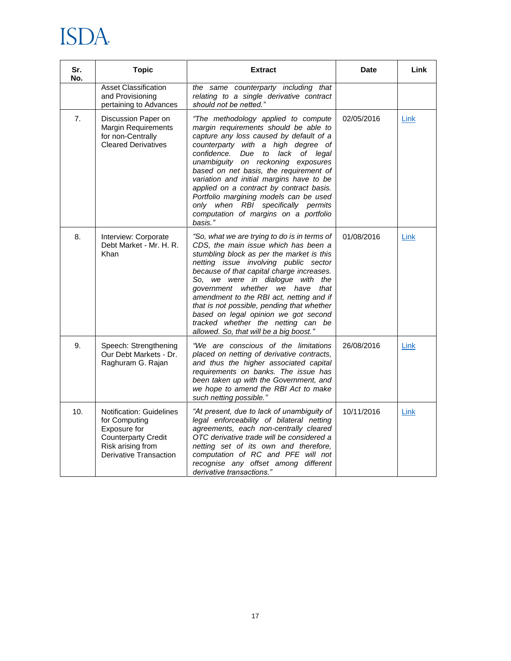# **ISDA**

| Sr.<br>No. | <b>Topic</b>                                                                                                                           | <b>Extract</b>                                                                                                                                                                                                                                                                                                                                                                                                                                                                                                      | Date       | Link |
|------------|----------------------------------------------------------------------------------------------------------------------------------------|---------------------------------------------------------------------------------------------------------------------------------------------------------------------------------------------------------------------------------------------------------------------------------------------------------------------------------------------------------------------------------------------------------------------------------------------------------------------------------------------------------------------|------------|------|
|            | <b>Asset Classification</b><br>and Provisioning<br>pertaining to Advances                                                              | the same counterparty including that<br>relating to a single derivative contract<br>should not be netted."                                                                                                                                                                                                                                                                                                                                                                                                          |            |      |
| 7.         | Discussion Paper on<br><b>Margin Requirements</b><br>for non-Centrally<br><b>Cleared Derivatives</b>                                   | "The methodology applied to compute<br>margin requirements should be able to<br>capture any loss caused by default of a<br>counterparty with a high degree of<br>confidence.<br>Due<br>to lack of legal<br>unambiguity on reckoning exposures<br>based on net basis, the requirement of<br>variation and initial margins have to be<br>applied on a contract by contract basis.<br>Portfolio margining models can be used<br>only when RBI specifically permits<br>computation of margins on a portfolio<br>basis." | 02/05/2016 | Link |
| 8.         | Interview: Corporate<br>Debt Market - Mr. H. R.<br>Khan                                                                                | "So, what we are trying to do is in terms of<br>CDS, the main issue which has been a<br>stumbling block as per the market is this<br>netting issue involving public sector<br>because of that capital charge increases.<br>So, we were in dialogue with the<br>government whether we have that<br>amendment to the RBI act, netting and if<br>that is not possible, pending that whether<br>based on legal opinion we got second<br>tracked whether the netting can be<br>allowed. So, that will be a big boost."   | 01/08/2016 | Link |
| 9.         | Speech: Strengthening<br>Our Debt Markets - Dr.<br>Raghuram G. Rajan                                                                   | "We are conscious of the limitations<br>placed on netting of derivative contracts,<br>and thus the higher associated capital<br>requirements on banks. The issue has<br>been taken up with the Government, and<br>we hope to amend the RBI Act to make<br>such netting possible."                                                                                                                                                                                                                                   | 26/08/2016 | Link |
| 10.        | Notification: Guidelines<br>for Computing<br>Exposure for<br><b>Counterparty Credit</b><br>Risk arising from<br>Derivative Transaction | "At present, due to lack of unambiguity of<br>legal enforceability of bilateral netting<br>agreements, each non-centrally cleared<br>OTC derivative trade will be considered a<br>netting set of its own and therefore,<br>computation of RC and PFE will not<br>recognise any offset among different<br>derivative transactions."                                                                                                                                                                                  | 10/11/2016 | Link |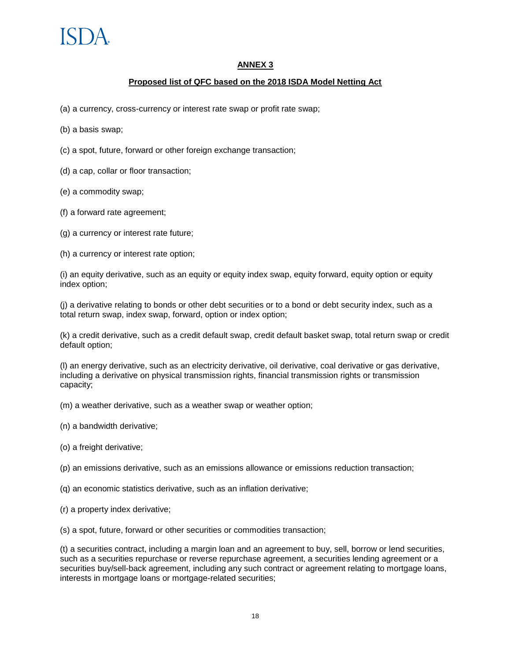#### **ANNEX 3**

#### **Proposed list of QFC based on the 2018 ISDA Model Netting Act**

(a) a currency, cross-currency or interest rate swap or profit rate swap;

- (b) a basis swap;
- (c) a spot, future, forward or other foreign exchange transaction;
- (d) a cap, collar or floor transaction;
- (e) a commodity swap;
- (f) a forward rate agreement;
- (g) a currency or interest rate future;
- (h) a currency or interest rate option;

(i) an equity derivative, such as an equity or equity index swap, equity forward, equity option or equity index option;

(j) a derivative relating to bonds or other debt securities or to a bond or debt security index, such as a total return swap, index swap, forward, option or index option;

(k) a credit derivative, such as a credit default swap, credit default basket swap, total return swap or credit default option;

(l) an energy derivative, such as an electricity derivative, oil derivative, coal derivative or gas derivative, including a derivative on physical transmission rights, financial transmission rights or transmission capacity;

- (m) a weather derivative, such as a weather swap or weather option;
- (n) a bandwidth derivative;
- (o) a freight derivative;

(p) an emissions derivative, such as an emissions allowance or emissions reduction transaction;

- (q) an economic statistics derivative, such as an inflation derivative;
- (r) a property index derivative;
- (s) a spot, future, forward or other securities or commodities transaction;

(t) a securities contract, including a margin loan and an agreement to buy, sell, borrow or lend securities, such as a securities repurchase or reverse repurchase agreement, a securities lending agreement or a securities buy/sell-back agreement, including any such contract or agreement relating to mortgage loans, interests in mortgage loans or mortgage-related securities;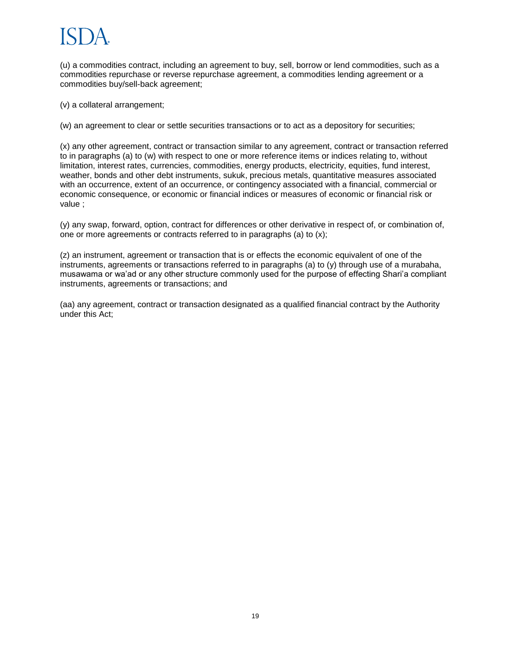# $|\zeta|$ )/

(u) a commodities contract, including an agreement to buy, sell, borrow or lend commodities, such as a commodities repurchase or reverse repurchase agreement, a commodities lending agreement or a commodities buy/sell-back agreement;

(v) a collateral arrangement;

(w) an agreement to clear or settle securities transactions or to act as a depository for securities;

(x) any other agreement, contract or transaction similar to any agreement, contract or transaction referred to in paragraphs (a) to (w) with respect to one or more reference items or indices relating to, without limitation, interest rates, currencies, commodities, energy products, electricity, equities, fund interest, weather, bonds and other debt instruments, sukuk, precious metals, quantitative measures associated with an occurrence, extent of an occurrence, or contingency associated with a financial, commercial or economic consequence, or economic or financial indices or measures of economic or financial risk or value ;

(y) any swap, forward, option, contract for differences or other derivative in respect of, or combination of, one or more agreements or contracts referred to in paragraphs (a) to (x);

(z) an instrument, agreement or transaction that is or effects the economic equivalent of one of the instruments, agreements or transactions referred to in paragraphs (a) to (y) through use of a murabaha, musawama or wa'ad or any other structure commonly used for the purpose of effecting Shari'a compliant instruments, agreements or transactions; and

(aa) any agreement, contract or transaction designated as a qualified financial contract by the Authority under this Act;